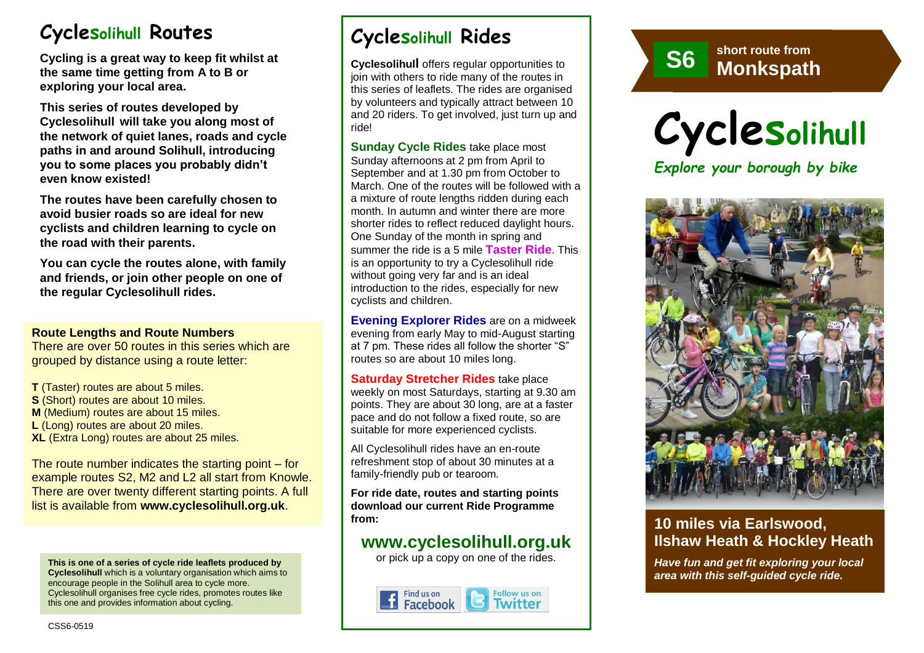# **Cyclesolihull Routes**

**Cycling is a great way to keep fit whilst at the same time getting from A to B or exploring your local area.** 

**This series of routes developed by Cyclesolihull will take you along most of the network of quiet lanes, roads and cycle paths in and around Solihull, introducing you to some places you probably didn't even know existed!**

**The routes have been carefully chosen to avoid busier roads so are ideal for new cyclists and children learning to cycle on the road with their parents.** 

**You can cycle the routes alone, with family and friends, or join other people on one of the regular Cyclesolihull rides.**

#### **Route Lengths and Route Numbers**

There are over 50 routes in this series which are grouped by distance using a route letter:

**T** (Taster) routes are about 5 miles. **S** (Short) routes are about 10 miles. **M** (Medium) routes are about 15 miles. **L** (Long) routes are about 20 miles. **XL** (Extra Long) routes are about 25 miles.

The route number indicates the starting point – for example routes S2, M2 and L2 all start from Knowle. There are over twenty different starting points. A full list is available from **www.cyclesolihull.org.uk**.

**This is one of a series of cycle ride leaflets produced by Cyclesolihull** which is a voluntary organisation which aims to encourage people in the Solihull area to cycle more. Cyclesolihull organises free cycle rides, promotes routes like this one and provides information about cycling.

# **Cyclesolihull Rides**

**Cyclesolihull** offers regular opportunities to join with others to ride many of the routes in this series of leaflets. The rides are organised by volunteers and typically attract between 10 and 20 riders. To get involved, just turn up and ride!

**Sunday Cycle Rides** take place most Sunday afternoons at 2 pm from April to September and at 1.30 pm from October to March. One of the routes will be followed with a a mixture of route lengths ridden during each month. In autumn and winter there are more shorter rides to reflect reduced daylight hours. One Sunday of the month in spring and summer the ride is a 5 mile **Taster Ride**. This is an opportunity to try a Cyclesolihull ride without going very far and is an ideal introduction to the rides, especially for new cyclists and children.

**Evening Explorer Rides** are on a midweek evening from early May to mid-August starting at 7 pm. These rides all follow the shorter "S" routes so are about 10 miles long.

**Saturday Stretcher Rides** take place weekly on most Saturdays, starting at 9.30 am points. They are about 30 long, are at a faster pace and do not follow a fixed route, so are suitable for more experienced cyclists.

All Cyclesolihull rides have an en-route refreshment stop of about 30 minutes at a family-friendly pub or tearoom.

**For ride date, routes and starting points download our current Ride Programme from:** 

## **www.cyclesolihull.org.uk**

or pick up a copy on one of the rides.



**short route from S6 Monkspath**





## **10 miles via Earlswood, Ilshaw Heath & Hockley Heath**

*Have fun and get fit exploring your local area with this self-guided cycle ride.*